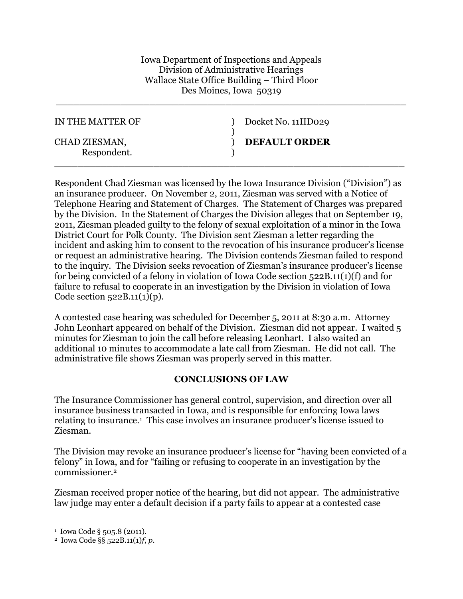Iowa Department of Inspections and Appeals Division of Administrative Hearings Wallace State Office Building – Third Floor Des Moines, Iowa 50319

\_\_\_\_\_\_\_\_\_\_\_\_\_\_\_\_\_\_\_\_\_\_\_\_\_\_\_\_\_\_\_\_\_\_\_\_\_\_\_\_\_\_\_\_\_\_\_\_\_\_\_\_\_\_\_\_\_\_\_\_

| IN THE MATTER OF             | Docket No. 11IID029  |
|------------------------------|----------------------|
| CHAD ZIESMAN,<br>Respondent. | <b>DEFAULT ORDER</b> |

Respondent Chad Ziesman was licensed by the Iowa Insurance Division ("Division") as an insurance producer. On November 2, 2011, Ziesman was served with a Notice of Telephone Hearing and Statement of Charges. The Statement of Charges was prepared by the Division. In the Statement of Charges the Division alleges that on September 19, 2011, Ziesman pleaded guilty to the felony of sexual exploitation of a minor in the Iowa District Court for Polk County. The Division sent Ziesman a letter regarding the incident and asking him to consent to the revocation of his insurance producer's license or request an administrative hearing. The Division contends Ziesman failed to respond to the inquiry. The Division seeks revocation of Ziesman's insurance producer's license for being convicted of a felony in violation of Iowa Code section 522B.11(1)(f) and for failure to refusal to cooperate in an investigation by the Division in violation of Iowa Code section  $522B.11(1)(p)$ .

A contested case hearing was scheduled for December 5, 2011 at 8:30 a.m. Attorney John Leonhart appeared on behalf of the Division. Ziesman did not appear. I waited 5 minutes for Ziesman to join the call before releasing Leonhart. I also waited an additional 10 minutes to accommodate a late call from Ziesman. He did not call. The administrative file shows Ziesman was properly served in this matter.

## **CONCLUSIONS OF LAW**

The Insurance Commissioner has general control, supervision, and direction over all insurance business transacted in Iowa, and is responsible for enforcing Iowa laws relating to insurance.[1](#page-0-0) This case involves an insurance producer's license issued to Ziesman.

The Division may revoke an insurance producer's license for "having been convicted of a felony" in Iowa, and for "failing or refusing to cooperate in an investigation by the commissioner.[2](#page-0-1)

Ziesman received proper notice of the hearing, but did not appear. The administrative law judge may enter a default decision if a party fails to appear at a contested case

<span id="page-0-1"></span><span id="page-0-0"></span><sup>1</sup> Iowa Code § 505.8 (2011).

<sup>2</sup> Iowa Code §§ 522B.11(1)*f*, *p*.